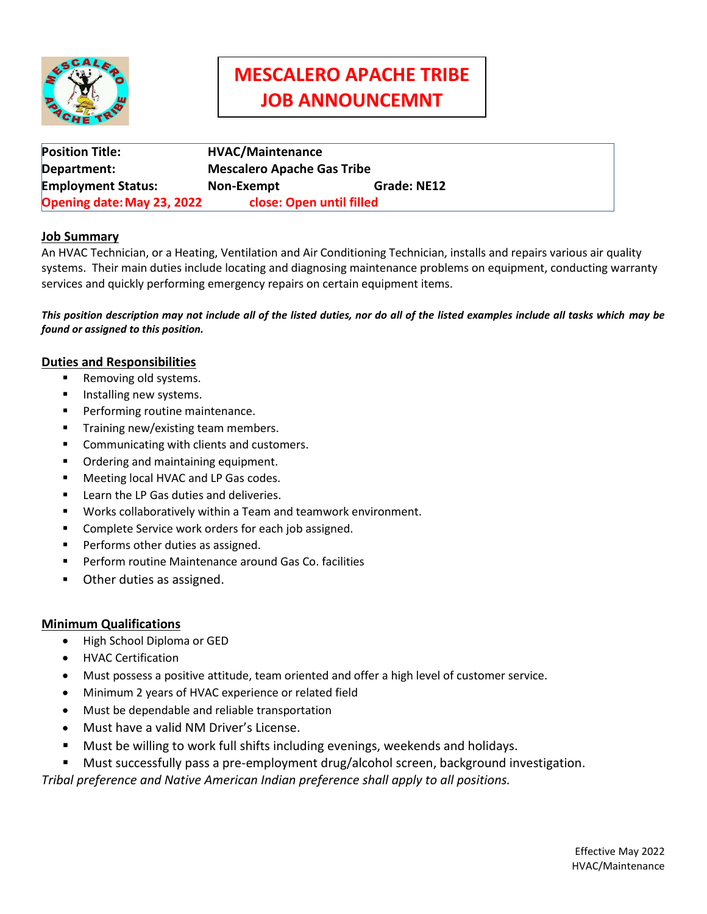

# **MESCALERO APACHE TRIBE JOB ANNOUNCEMNT Job Announcement**

| <b>Position Title:</b>     | <b>HVAC/Maintenance</b>           |             |
|----------------------------|-----------------------------------|-------------|
| Department:                | <b>Mescalero Apache Gas Tribe</b> |             |
| <b>Employment Status:</b>  | Non-Exempt                        | Grade: NE12 |
| Opening date: May 23, 2022 | close: Open until filled          |             |

# **Job Summary**

An HVAC Technician, or a Heating, Ventilation and Air Conditioning Technician, installs and repairs various air quality systems. Their main duties include locating and diagnosing maintenance problems on equipment, conducting warranty services and quickly performing emergency repairs on certain equipment items.

*This position description may not include all of the listed duties, nor do all of the listed examples include all tasks which may be found or assigned to this position.*

## **Duties and Responsibilities**

- Removing old systems.
- **Installing new systems.**
- **Performing routine maintenance.**
- Training new/existing team members.
- **Communicating with clients and customers.**
- **•** Ordering and maintaining equipment.
- **Meeting local HVAC and LP Gas codes.**
- **EXEC** Learn the LP Gas duties and deliveries.
- Works collaboratively within a Team and teamwork environment.
- Complete Service work orders for each job assigned.
- **Performs other duties as assigned.**
- Perform routine Maintenance around Gas Co. facilities
- Other duties as assigned.

### **Minimum Qualifications**

- High School Diploma or GED
- HVAC Certification
- Must possess a positive attitude, team oriented and offer a high level of customer service.
- Minimum 2 years of HVAC experience or related field
- Must be dependable and reliable transportation
- Must have a valid NM Driver's License.
- Must be willing to work full shifts including evenings, weekends and holidays.
- Must successfully pass a pre-employment drug/alcohol screen, background investigation.

*Tribal preference and Native American Indian preference shall apply to all positions.*